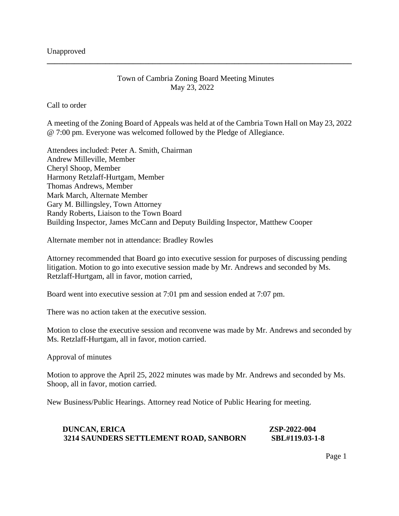## Town of Cambria Zoning Board Meeting Minutes May 23, 2022

**\_\_\_\_\_\_\_\_\_\_\_\_\_\_\_\_\_\_\_\_\_\_\_\_\_\_\_\_\_\_\_\_\_\_\_\_\_\_\_\_\_\_\_\_\_\_\_\_\_\_\_\_\_\_\_\_\_\_\_\_\_\_\_\_\_\_\_\_\_\_\_\_\_\_\_\_\_\_**

Call to order

A meeting of the Zoning Board of Appeals was held at of the Cambria Town Hall on May 23, 2022 @ 7:00 pm. Everyone was welcomed followed by the Pledge of Allegiance.

Attendees included: Peter A. Smith, Chairman Andrew Milleville, Member Cheryl Shoop, Member Harmony Retzlaff-Hurtgam, Member Thomas Andrews, Member Mark March, Alternate Member Gary M. Billingsley, Town Attorney Randy Roberts, Liaison to the Town Board Building Inspector, James McCann and Deputy Building Inspector, Matthew Cooper

Alternate member not in attendance: Bradley Rowles

Attorney recommended that Board go into executive session for purposes of discussing pending litigation. Motion to go into executive session made by Mr. Andrews and seconded by Ms. Retzlaff-Hurtgam, all in favor, motion carried,

Board went into executive session at 7:01 pm and session ended at 7:07 pm.

There was no action taken at the executive session.

Motion to close the executive session and reconvene was made by Mr. Andrews and seconded by Ms. Retzlaff-Hurtgam, all in favor, motion carried.

Approval of minutes

Motion to approve the April 25, 2022 minutes was made by Mr. Andrews and seconded by Ms. Shoop, all in favor, motion carried.

New Business/Public Hearings. Attorney read Notice of Public Hearing for meeting.

 **DUNCAN, ERICA ZSP-2022-004 3214 SAUNDERS SETTLEMENT ROAD, SANBORN SBL#119.03-1-8**

Page 1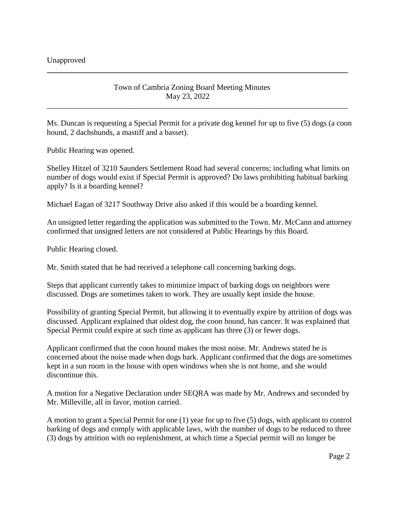Town of Cambria Zoning Board Meeting Minutes May 23, 2022

**\_\_\_\_\_\_\_\_\_\_\_\_\_\_\_\_\_\_\_\_\_\_\_\_\_\_\_\_\_\_\_\_\_\_\_\_\_\_\_\_\_\_\_\_\_\_\_\_\_\_\_\_\_\_\_\_\_\_\_\_\_\_\_\_\_\_\_\_\_\_\_\_\_\_\_\_\_** 

Ms. Duncan is requesting a Special Permit for a private dog kennel for up to five (5) dogs (a coon hound, 2 dachshunds, a mastiff and a basset).

\_\_\_\_\_\_\_\_\_\_\_\_\_\_\_\_\_\_\_\_\_\_\_\_\_\_\_\_\_\_\_\_\_\_\_\_\_\_\_\_\_\_\_\_\_\_\_\_\_\_\_\_\_\_\_\_\_\_\_\_\_\_\_\_\_\_\_\_\_\_\_\_\_\_\_\_\_

Public Hearing was opened.

Shelley Hitzel of 3210 Saunders Settlement Road had several concerns; including what limits on number of dogs would exist if Special Permit is approved? Do laws prohibiting habitual barking apply? Is it a boarding kennel?

Michael Eagan of 3217 Southway Drive also asked if this would be a boarding kennel.

An unsigned letter regarding the application was submitted to the Town. Mr. McCann and attorney confirmed that unsigned letters are not considered at Public Hearings by this Board.

Public Hearing closed.

Mr. Smith stated that he had received a telephone call concerning barking dogs.

Steps that applicant currently takes to minimize impact of barking dogs on neighbors were discussed. Dogs are sometimes taken to work. They are usually kept inside the house.

Possibility of granting Special Permit, but allowing it to eventually expire by attrition of dogs was discussed. Applicant explained that oldest dog, the coon hound, has cancer. It was explained that Special Permit could expire at such time as applicant has three (3) or fewer dogs.

Applicant confirmed that the coon hound makes the most noise. Mr. Andrews stated he is concerned about the noise made when dogs bark. Applicant confirmed that the dogs are sometimes kept in a sun room in the house with open windows when she is not home, and she would discontinue this.

A motion for a Negative Declaration under SEQRA was made by Mr. Andrews and seconded by Mr. Milleville, all in favor, motion carried.

A motion to grant a Special Permit for one (1) year for up to five (5) dogs, with applicant to control barking of dogs and comply with applicable laws, with the number of dogs to be reduced to three (3) dogs by attrition with no replenishment, at which time a Special permit will no longer be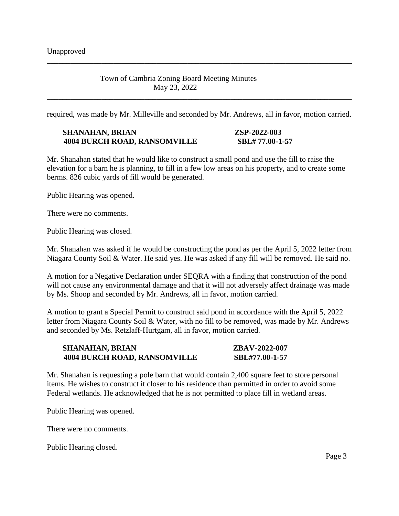### Town of Cambria Zoning Board Meeting Minutes May 23, 2022

required, was made by Mr. Milleville and seconded by Mr. Andrews, all in favor, motion carried.

\_\_\_\_\_\_\_\_\_\_\_\_\_\_\_\_\_\_\_\_\_\_\_\_\_\_\_\_\_\_\_\_\_\_\_\_\_\_\_\_\_\_\_\_\_\_\_\_\_\_\_\_\_\_\_\_\_\_\_\_\_\_\_\_\_\_\_\_\_\_\_\_\_\_\_\_\_\_

\_\_\_\_\_\_\_\_\_\_\_\_\_\_\_\_\_\_\_\_\_\_\_\_\_\_\_\_\_\_\_\_\_\_\_\_\_\_\_\_\_\_\_\_\_\_\_\_\_\_\_\_\_\_\_\_\_\_\_\_\_\_\_\_\_\_\_\_\_\_\_\_\_\_\_\_\_\_

#### **SHANAHAN, BRIAN ZSP-2022-003 4004 BURCH ROAD, RANSOMVILLE SBL# 77.00-1-57**

Mr. Shanahan stated that he would like to construct a small pond and use the fill to raise the elevation for a barn he is planning, to fill in a few low areas on his property, and to create some berms. 826 cubic yards of fill would be generated.

Public Hearing was opened.

There were no comments.

Public Hearing was closed.

Mr. Shanahan was asked if he would be constructing the pond as per the April 5, 2022 letter from Niagara County Soil & Water. He said yes. He was asked if any fill will be removed. He said no.

A motion for a Negative Declaration under SEQRA with a finding that construction of the pond will not cause any environmental damage and that it will not adversely affect drainage was made by Ms. Shoop and seconded by Mr. Andrews, all in favor, motion carried.

A motion to grant a Special Permit to construct said pond in accordance with the April 5, 2022 letter from Niagara County Soil & Water, with no fill to be removed, was made by Mr. Andrews and seconded by Ms. Retzlaff-Hurtgam, all in favor, motion carried.

## **SHANAHAN, BRIAN ZBAV-2022-007 4004 BURCH ROAD, RANSOMVILLE SBL#77.00-1-57**

Mr. Shanahan is requesting a pole barn that would contain 2,400 square feet to store personal items. He wishes to construct it closer to his residence than permitted in order to avoid some Federal wetlands. He acknowledged that he is not permitted to place fill in wetland areas.

Public Hearing was opened.

There were no comments.

Public Hearing closed.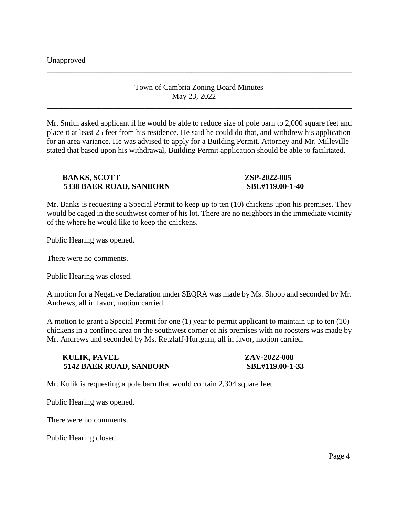Unapproved

Town of Cambria Zoning Board Minutes May 23, 2022

\_\_\_\_\_\_\_\_\_\_\_\_\_\_\_\_\_\_\_\_\_\_\_\_\_\_\_\_\_\_\_\_\_\_\_\_\_\_\_\_\_\_\_\_\_\_\_\_\_\_\_\_\_\_\_\_\_\_\_\_\_\_\_\_\_\_\_\_\_\_\_\_\_\_\_\_\_\_

\_\_\_\_\_\_\_\_\_\_\_\_\_\_\_\_\_\_\_\_\_\_\_\_\_\_\_\_\_\_\_\_\_\_\_\_\_\_\_\_\_\_\_\_\_\_\_\_\_\_\_\_\_\_\_\_\_\_\_\_\_\_\_\_\_\_\_\_\_\_\_\_\_\_\_\_\_\_

Mr. Smith asked applicant if he would be able to reduce size of pole barn to 2,000 square feet and place it at least 25 feet from his residence. He said he could do that, and withdrew his application for an area variance. He was advised to apply for a Building Permit. Attorney and Mr. Milleville stated that based upon his withdrawal, Building Permit application should be able to facilitated.

# **BANKS, SCOTT 2SP-2022-005 5338 BAER ROAD, SANBORN SBL#119.00-1-40**

Mr. Banks is requesting a Special Permit to keep up to ten (10) chickens upon his premises. They would be caged in the southwest corner of his lot. There are no neighbors in the immediate vicinity of the where he would like to keep the chickens.

Public Hearing was opened.

There were no comments.

Public Hearing was closed.

A motion for a Negative Declaration under SEQRA was made by Ms. Shoop and seconded by Mr. Andrews, all in favor, motion carried.

A motion to grant a Special Permit for one (1) year to permit applicant to maintain up to ten (10) chickens in a confined area on the southwest corner of his premises with no roosters was made by Mr. Andrews and seconded by Ms. Retzlaff-Hurtgam, all in favor, motion carried.

### **KULIK, PAVEL 2022-008 5142 BAER ROAD, SANBORN SBL#119.00-1-33**

Mr. Kulik is requesting a pole barn that would contain 2,304 square feet.

Public Hearing was opened.

There were no comments.

Public Hearing closed.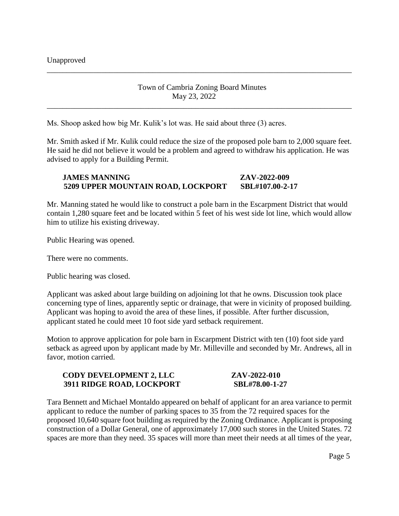# Town of Cambria Zoning Board Minutes May 23, 2022

\_\_\_\_\_\_\_\_\_\_\_\_\_\_\_\_\_\_\_\_\_\_\_\_\_\_\_\_\_\_\_\_\_\_\_\_\_\_\_\_\_\_\_\_\_\_\_\_\_\_\_\_\_\_\_\_\_\_\_\_\_\_\_\_\_\_\_\_\_\_\_\_\_\_\_\_\_\_

\_\_\_\_\_\_\_\_\_\_\_\_\_\_\_\_\_\_\_\_\_\_\_\_\_\_\_\_\_\_\_\_\_\_\_\_\_\_\_\_\_\_\_\_\_\_\_\_\_\_\_\_\_\_\_\_\_\_\_\_\_\_\_\_\_\_\_\_\_\_\_\_\_\_\_\_\_\_

Ms. Shoop asked how big Mr. Kulik's lot was. He said about three (3) acres.

Mr. Smith asked if Mr. Kulik could reduce the size of the proposed pole barn to 2,000 square feet. He said he did not believe it would be a problem and agreed to withdraw his application. He was advised to apply for a Building Permit.

# **JAMES MANNING ZAV-2022-009 5209 UPPER MOUNTAIN ROAD, LOCKPORT SBL#107.00-2-17**

Mr. Manning stated he would like to construct a pole barn in the Escarpment District that would contain 1,280 square feet and be located within 5 feet of his west side lot line, which would allow him to utilize his existing driveway.

Public Hearing was opened.

There were no comments.

Public hearing was closed.

Applicant was asked about large building on adjoining lot that he owns. Discussion took place concerning type of lines, apparently septic or drainage, that were in vicinity of proposed building. Applicant was hoping to avoid the area of these lines, if possible. After further discussion, applicant stated he could meet 10 foot side yard setback requirement.

Motion to approve application for pole barn in Escarpment District with ten (10) foot side yard setback as agreed upon by applicant made by Mr. Milleville and seconded by Mr. Andrews, all in favor, motion carried.

| <b>CODY DEVELOPMENT 2, LLC</b> | ZAV-2022-010   |
|--------------------------------|----------------|
| 3911 RIDGE ROAD, LOCKPORT      | SBL#78.00-1-27 |

Tara Bennett and Michael Montaldo appeared on behalf of applicant for an area variance to permit applicant to reduce the number of parking spaces to 35 from the 72 required spaces for the proposed 10,640 square foot building as required by the Zoning Ordinance. Applicant is proposing construction of a Dollar General, one of approximately 17,000 such stores in the United States. 72 spaces are more than they need. 35 spaces will more than meet their needs at all times of the year,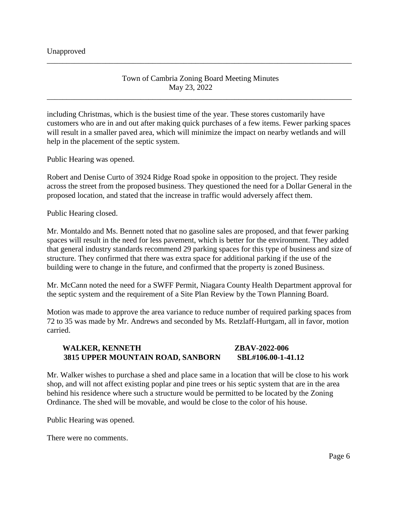Town of Cambria Zoning Board Meeting Minutes May 23, 2022

\_\_\_\_\_\_\_\_\_\_\_\_\_\_\_\_\_\_\_\_\_\_\_\_\_\_\_\_\_\_\_\_\_\_\_\_\_\_\_\_\_\_\_\_\_\_\_\_\_\_\_\_\_\_\_\_\_\_\_\_\_\_\_\_\_\_\_\_\_\_\_\_\_\_\_\_\_\_

\_\_\_\_\_\_\_\_\_\_\_\_\_\_\_\_\_\_\_\_\_\_\_\_\_\_\_\_\_\_\_\_\_\_\_\_\_\_\_\_\_\_\_\_\_\_\_\_\_\_\_\_\_\_\_\_\_\_\_\_\_\_\_\_\_\_\_\_\_\_\_\_\_\_\_\_\_\_

including Christmas, which is the busiest time of the year. These stores customarily have customers who are in and out after making quick purchases of a few items. Fewer parking spaces will result in a smaller paved area, which will minimize the impact on nearby wetlands and will help in the placement of the septic system.

Public Hearing was opened.

Robert and Denise Curto of 3924 Ridge Road spoke in opposition to the project. They reside across the street from the proposed business. They questioned the need for a Dollar General in the proposed location, and stated that the increase in traffic would adversely affect them.

Public Hearing closed.

Mr. Montaldo and Ms. Bennett noted that no gasoline sales are proposed, and that fewer parking spaces will result in the need for less pavement, which is better for the environment. They added that general industry standards recommend 29 parking spaces for this type of business and size of structure. They confirmed that there was extra space for additional parking if the use of the building were to change in the future, and confirmed that the property is zoned Business.

Mr. McCann noted the need for a SWFF Permit, Niagara County Health Department approval for the septic system and the requirement of a Site Plan Review by the Town Planning Board.

Motion was made to approve the area variance to reduce number of required parking spaces from 72 to 35 was made by Mr. Andrews and seconded by Ms. Retzlaff-Hurtgam, all in favor, motion carried.

## **WALKER, KENNETH ZBAV-2022-006 3815 UPPER MOUNTAIN ROAD, SANBORN SBL#106.00-1-41.12**

Mr. Walker wishes to purchase a shed and place same in a location that will be close to his work shop, and will not affect existing poplar and pine trees or his septic system that are in the area behind his residence where such a structure would be permitted to be located by the Zoning Ordinance. The shed will be movable, and would be close to the color of his house.

Public Hearing was opened.

There were no comments.